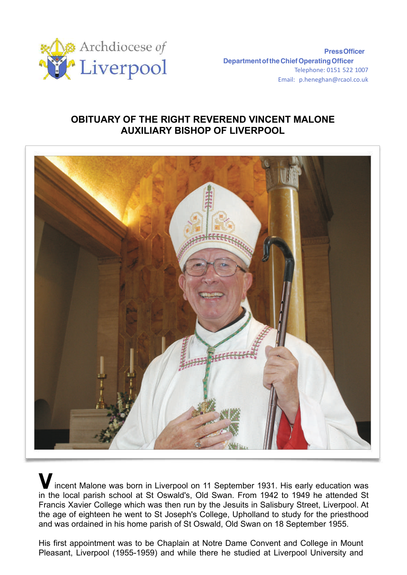

**PressOfficer DepartmentoftheChiefOperatingOfficer** Telephone: 0151 522 1007 Email: [p.heneghan@rcaol.co.uk](mailto:p.heneghan@rcaol.co.uk)

## **OBITUARY OF THE RIGHT REVEREND VINCENT MALONE AUXILIARY BISHOP OF LIVERPOOL**



**V**incent Malone was born in Liverpool on 11 September 1931. His early education was in the local parish school at St Oswald's, Old Swan. From 1942 to 1949 he attended St Francis Xavier College which was then run by the Jesuits in Salisbury Street, Liverpool. At the age of eighteen he went to St Joseph's College, Upholland to study for the priesthood and was ordained in his home parish of St Oswald, Old Swan on 18 September 1955.

His first appointment was to be Chaplain at Notre Dame Convent and College in Mount Pleasant, Liverpool (1955-1959) and while there he studied at Liverpool University and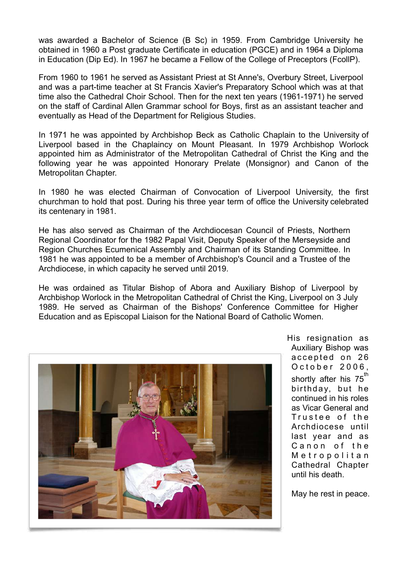was awarded a Bachelor of Science (B Sc) in 1959. From Cambridge University he obtained in 1960 a Post graduate Certificate in education (PGCE) and in 1964 a Diploma in Education (Dip Ed). In 1967 he became a Fellow of the College of Preceptors (FcollP).

From 1960 to 1961 he served as Assistant Priest at St Anne's, Overbury Street, Liverpool and was a part-time teacher at St Francis Xavier's Preparatory School which was at that time also the Cathedral Choir School. Then for the next ten years (1961-1971) he served on the staff of Cardinal Allen Grammar school for Boys, first as an assistant teacher and eventually as Head of the Department for Religious Studies.

In 1971 he was appointed by Archbishop Beck as Catholic Chaplain to the University of Liverpool based in the Chaplaincy on Mount Pleasant. In 1979 Archbishop Worlock appointed him as Administrator of the Metropolitan Cathedral of Christ the King and the following year he was appointed Honorary Prelate (Monsignor) and Canon of the Metropolitan Chapter.

In 1980 he was elected Chairman of Convocation of Liverpool University, the first churchman to hold that post. During his three year term of office the University celebrated its centenary in 1981.

He has also served as Chairman of the Archdiocesan Council of Priests, Northern Regional Coordinator for the 1982 Papal Visit, Deputy Speaker of the Merseyside and Region Churches Ecumenical Assembly and Chairman of its Standing Committee. In 1981 he was appointed to be a member of Archbishop's Council and a Trustee of the Archdiocese, in which capacity he served until 2019.

He was ordained as Titular Bishop of Abora and Auxiliary Bishop of Liverpool by Archbishop Worlock in the Metropolitan Cathedral of Christ the King, Liverpool on 3 July 1989. He served as Chairman of the Bishops' Conference Committee for Higher Education and as Episcopal Liaison for the National Board of Catholic Women.



His resignation as Auxiliary Bishop was accepted on 26 O c t o b e r 2006, shortly after his  $75<sup>th</sup>$ birthday, but he continued in his roles as Vicar General and Trustee of the Archdiocese until last year and as Canon of the Metropolitan Cathedral Chapter until his death.

May he rest in peace.